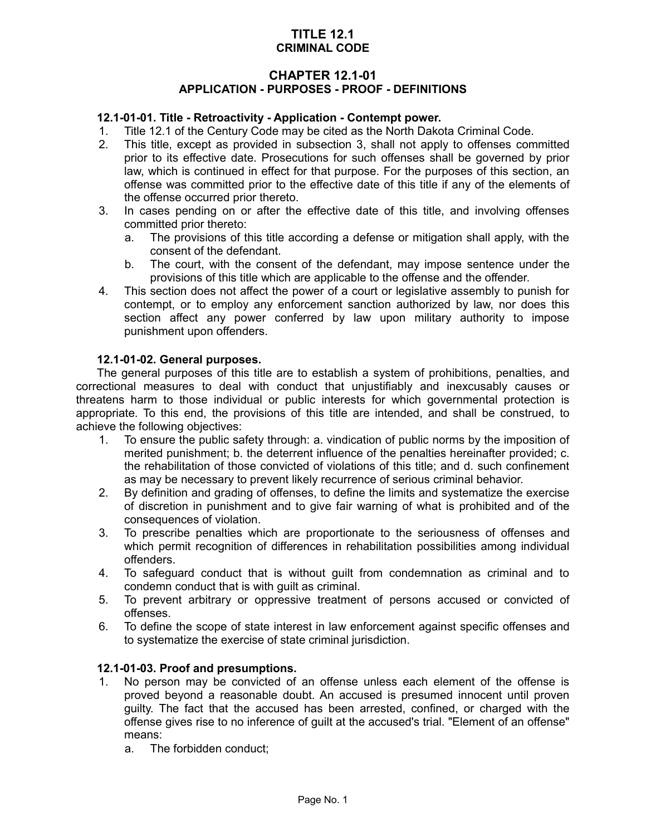## **TITLE 12.1 CRIMINAL CODE**

### **CHAPTER 12.1-01 APPLICATION - PURPOSES - PROOF - DEFINITIONS**

### **12.1-01-01. Title - Retroactivity - Application - Contempt power.**

- 1. Title 12.1 of the Century Code may be cited as the North Dakota Criminal Code.
- 2. This title, except as provided in subsection 3, shall not apply to offenses committed prior to its effective date. Prosecutions for such offenses shall be governed by prior law, which is continued in effect for that purpose. For the purposes of this section, an offense was committed prior to the effective date of this title if any of the elements of the offense occurred prior thereto.
- 3. In cases pending on or after the effective date of this title, and involving offenses committed prior thereto:
	- a. The provisions of this title according a defense or mitigation shall apply, with the consent of the defendant.
	- b. The court, with the consent of the defendant, may impose sentence under the provisions of this title which are applicable to the offense and the offender.
- 4. This section does not affect the power of a court or legislative assembly to punish for contempt, or to employ any enforcement sanction authorized by law, nor does this section affect any power conferred by law upon military authority to impose punishment upon offenders.

#### **12.1-01-02. General purposes.**

The general purposes of this title are to establish a system of prohibitions, penalties, and correctional measures to deal with conduct that unjustifiably and inexcusably causes or threatens harm to those individual or public interests for which governmental protection is appropriate. To this end, the provisions of this title are intended, and shall be construed, to achieve the following objectives:

- 1. To ensure the public safety through: a. vindication of public norms by the imposition of merited punishment; b. the deterrent influence of the penalties hereinafter provided; c. the rehabilitation of those convicted of violations of this title; and d. such confinement as may be necessary to prevent likely recurrence of serious criminal behavior.
- 2. By definition and grading of offenses, to define the limits and systematize the exercise of discretion in punishment and to give fair warning of what is prohibited and of the consequences of violation.
- 3. To prescribe penalties which are proportionate to the seriousness of offenses and which permit recognition of differences in rehabilitation possibilities among individual offenders.
- 4. To safeguard conduct that is without guilt from condemnation as criminal and to condemn conduct that is with guilt as criminal.
- 5. To prevent arbitrary or oppressive treatment of persons accused or convicted of offenses.
- 6. To define the scope of state interest in law enforcement against specific offenses and to systematize the exercise of state criminal jurisdiction.

#### **12.1-01-03. Proof and presumptions.**

- 1. No person may be convicted of an offense unless each element of the offense is proved beyond a reasonable doubt. An accused is presumed innocent until proven guilty. The fact that the accused has been arrested, confined, or charged with the offense gives rise to no inference of guilt at the accused's trial. "Element of an offense" means:
	- a. The forbidden conduct;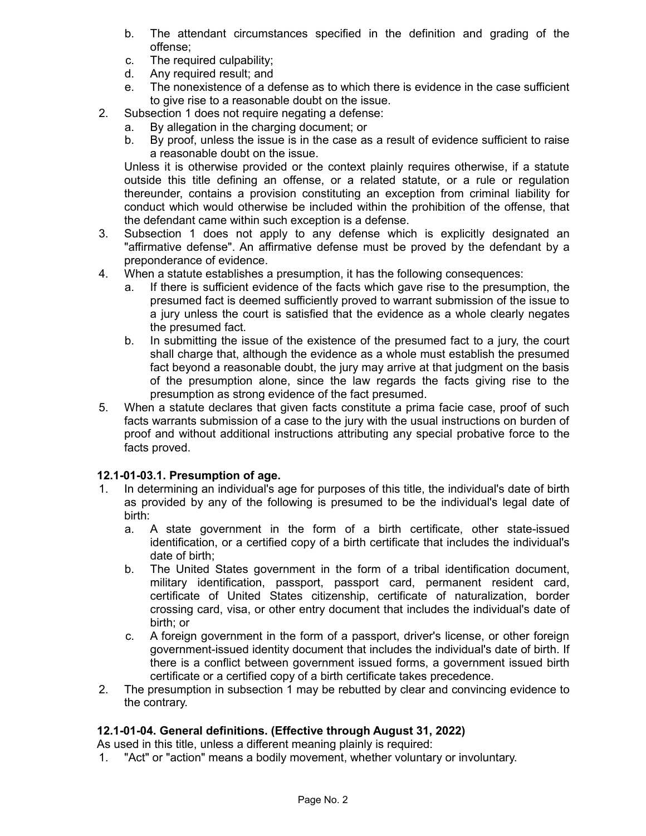- b. The attendant circumstances specified in the definition and grading of the offense;
- c. The required culpability;
- d. Any required result; and
- e. The nonexistence of a defense as to which there is evidence in the case sufficient to give rise to a reasonable doubt on the issue.
- 2. Subsection 1 does not require negating a defense:
	- a. By allegation in the charging document; or
	- b. By proof, unless the issue is in the case as a result of evidence sufficient to raise a reasonable doubt on the issue.

Unless it is otherwise provided or the context plainly requires otherwise, if a statute outside this title defining an offense, or a related statute, or a rule or regulation thereunder, contains a provision constituting an exception from criminal liability for conduct which would otherwise be included within the prohibition of the offense, that the defendant came within such exception is a defense.

- 3. Subsection 1 does not apply to any defense which is explicitly designated an "affirmative defense". An affirmative defense must be proved by the defendant by a preponderance of evidence.
- 4. When a statute establishes a presumption, it has the following consequences:
	- a. If there is sufficient evidence of the facts which gave rise to the presumption, the presumed fact is deemed sufficiently proved to warrant submission of the issue to a jury unless the court is satisfied that the evidence as a whole clearly negates the presumed fact.
	- b. In submitting the issue of the existence of the presumed fact to a jury, the court shall charge that, although the evidence as a whole must establish the presumed fact beyond a reasonable doubt, the jury may arrive at that judgment on the basis of the presumption alone, since the law regards the facts giving rise to the presumption as strong evidence of the fact presumed.
- 5. When a statute declares that given facts constitute a prima facie case, proof of such facts warrants submission of a case to the jury with the usual instructions on burden of proof and without additional instructions attributing any special probative force to the facts proved.

### **12.1-01-03.1. Presumption of age.**

- 1. In determining an individual's age for purposes of this title, the individual's date of birth as provided by any of the following is presumed to be the individual's legal date of birth:
	- a. A state government in the form of a birth certificate, other state-issued identification, or a certified copy of a birth certificate that includes the individual's date of birth;
	- b. The United States government in the form of a tribal identification document, military identification, passport, passport card, permanent resident card, certificate of United States citizenship, certificate of naturalization, border crossing card, visa, or other entry document that includes the individual's date of birth; or
	- c. A foreign government in the form of a passport, driver's license, or other foreign government-issued identity document that includes the individual's date of birth. If there is a conflict between government issued forms, a government issued birth certificate or a certified copy of a birth certificate takes precedence.
- 2. The presumption in subsection 1 may be rebutted by clear and convincing evidence to the contrary.

### **12.1-01-04. General definitions. (Effective through August 31, 2022)**

As used in this title, unless a different meaning plainly is required:

1. "Act" or "action" means a bodily movement, whether voluntary or involuntary.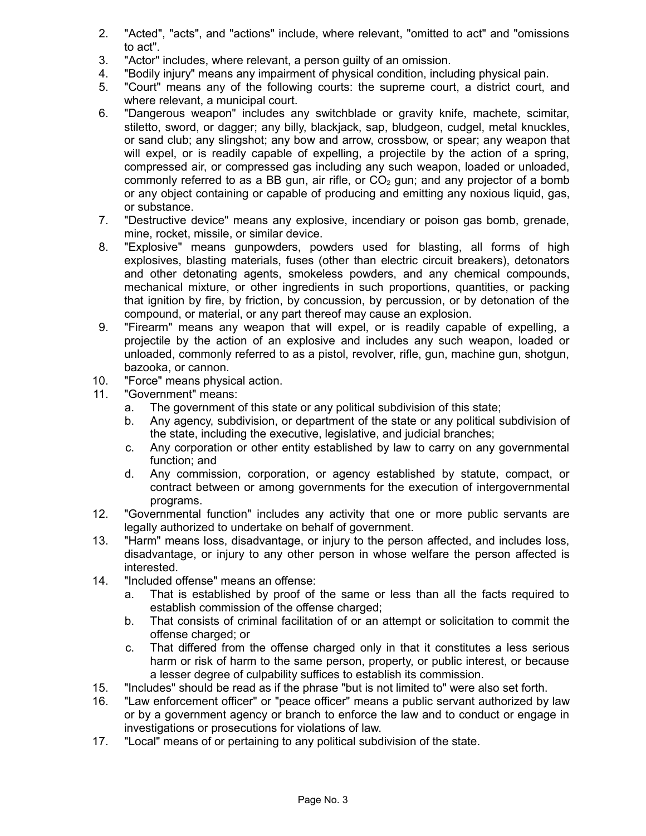- 2. "Acted", "acts", and "actions" include, where relevant, "omitted to act" and "omissions to act".
- 3. "Actor" includes, where relevant, a person guilty of an omission.
- 4. "Bodily injury" means any impairment of physical condition, including physical pain.
- 5. "Court" means any of the following courts: the supreme court, a district court, and where relevant, a municipal court.
- 6. "Dangerous weapon" includes any switchblade or gravity knife, machete, scimitar, stiletto, sword, or dagger; any billy, blackjack, sap, bludgeon, cudgel, metal knuckles, or sand club; any slingshot; any bow and arrow, crossbow, or spear; any weapon that will expel, or is readily capable of expelling, a projectile by the action of a spring, compressed air, or compressed gas including any such weapon, loaded or unloaded, commonly referred to as a BB gun, air rifle, or  $CO<sub>2</sub>$  gun; and any projector of a bomb or any object containing or capable of producing and emitting any noxious liquid, gas, or substance.
- 7. "Destructive device" means any explosive, incendiary or poison gas bomb, grenade, mine, rocket, missile, or similar device.
- 8. "Explosive" means gunpowders, powders used for blasting, all forms of high explosives, blasting materials, fuses (other than electric circuit breakers), detonators and other detonating agents, smokeless powders, and any chemical compounds, mechanical mixture, or other ingredients in such proportions, quantities, or packing that ignition by fire, by friction, by concussion, by percussion, or by detonation of the compound, or material, or any part thereof may cause an explosion.
- 9. "Firearm" means any weapon that will expel, or is readily capable of expelling, a projectile by the action of an explosive and includes any such weapon, loaded or unloaded, commonly referred to as a pistol, revolver, rifle, gun, machine gun, shotgun, bazooka, or cannon.
- 10. "Force" means physical action.
- 11. "Government" means:
	- a. The government of this state or any political subdivision of this state;
	- b. Any agency, subdivision, or department of the state or any political subdivision of the state, including the executive, legislative, and judicial branches;
	- c. Any corporation or other entity established by law to carry on any governmental function; and
	- d. Any commission, corporation, or agency established by statute, compact, or contract between or among governments for the execution of intergovernmental programs.
- 12. "Governmental function" includes any activity that one or more public servants are legally authorized to undertake on behalf of government.
- 13. "Harm" means loss, disadvantage, or injury to the person affected, and includes loss, disadvantage, or injury to any other person in whose welfare the person affected is interested.
- 14. "Included offense" means an offense:
	- a. That is established by proof of the same or less than all the facts required to establish commission of the offense charged;
	- b. That consists of criminal facilitation of or an attempt or solicitation to commit the offense charged; or
	- c. That differed from the offense charged only in that it constitutes a less serious harm or risk of harm to the same person, property, or public interest, or because a lesser degree of culpability suffices to establish its commission.
- 15. "Includes" should be read as if the phrase "but is not limited to" were also set forth.
- 16. "Law enforcement officer" or "peace officer" means a public servant authorized by law or by a government agency or branch to enforce the law and to conduct or engage in investigations or prosecutions for violations of law.
- 17. "Local" means of or pertaining to any political subdivision of the state.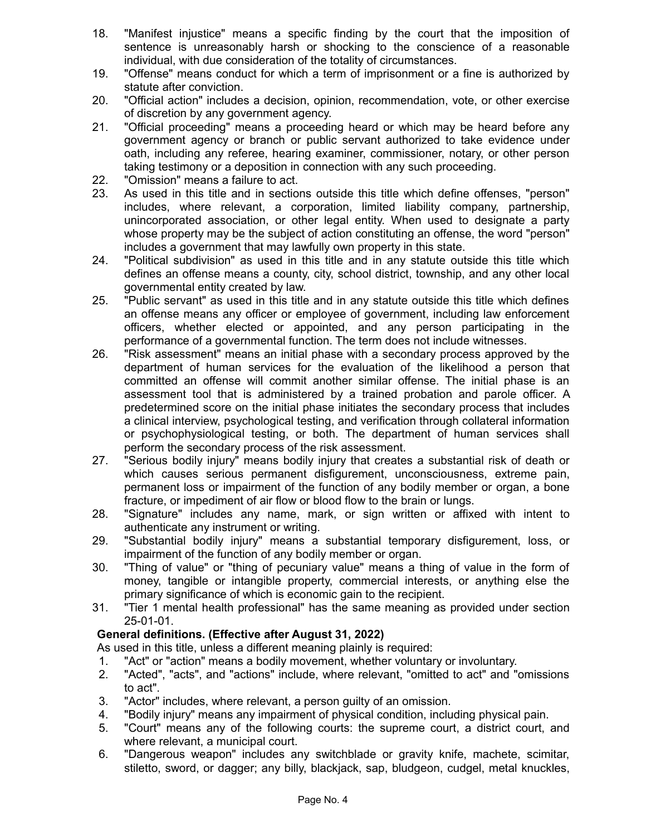- 18. "Manifest injustice" means a specific finding by the court that the imposition of sentence is unreasonably harsh or shocking to the conscience of a reasonable individual, with due consideration of the totality of circumstances.
- 19. "Offense" means conduct for which a term of imprisonment or a fine is authorized by statute after conviction.
- 20. "Official action" includes a decision, opinion, recommendation, vote, or other exercise of discretion by any government agency.
- 21. "Official proceeding" means a proceeding heard or which may be heard before any government agency or branch or public servant authorized to take evidence under oath, including any referee, hearing examiner, commissioner, notary, or other person taking testimony or a deposition in connection with any such proceeding.
- 22. "Omission" means a failure to act.
- 23. As used in this title and in sections outside this title which define offenses, "person" includes, where relevant, a corporation, limited liability company, partnership, unincorporated association, or other legal entity. When used to designate a party whose property may be the subject of action constituting an offense, the word "person" includes a government that may lawfully own property in this state.
- 24. "Political subdivision" as used in this title and in any statute outside this title which defines an offense means a county, city, school district, township, and any other local governmental entity created by law.
- 25. "Public servant" as used in this title and in any statute outside this title which defines an offense means any officer or employee of government, including law enforcement officers, whether elected or appointed, and any person participating in the performance of a governmental function. The term does not include witnesses.
- 26. "Risk assessment" means an initial phase with a secondary process approved by the department of human services for the evaluation of the likelihood a person that committed an offense will commit another similar offense. The initial phase is an assessment tool that is administered by a trained probation and parole officer. A predetermined score on the initial phase initiates the secondary process that includes a clinical interview, psychological testing, and verification through collateral information or psychophysiological testing, or both. The department of human services shall perform the secondary process of the risk assessment.
- 27. "Serious bodily injury" means bodily injury that creates a substantial risk of death or which causes serious permanent disfigurement, unconsciousness, extreme pain, permanent loss or impairment of the function of any bodily member or organ, a bone fracture, or impediment of air flow or blood flow to the brain or lungs.
- 28. "Signature" includes any name, mark, or sign written or affixed with intent to authenticate any instrument or writing.
- 29. "Substantial bodily injury" means a substantial temporary disfigurement, loss, or impairment of the function of any bodily member or organ.
- 30. "Thing of value" or "thing of pecuniary value" means a thing of value in the form of money, tangible or intangible property, commercial interests, or anything else the primary significance of which is economic gain to the recipient.
- 31. "Tier 1 mental health professional" has the same meaning as provided under section 25-01-01.

# **General definitions. (Effective after August 31, 2022)**

As used in this title, unless a different meaning plainly is required:

- 1. "Act" or "action" means a bodily movement, whether voluntary or involuntary.
- 2. "Acted", "acts", and "actions" include, where relevant, "omitted to act" and "omissions to act".
- 3. "Actor" includes, where relevant, a person guilty of an omission.
- 4. "Bodily injury" means any impairment of physical condition, including physical pain.
- 5. "Court" means any of the following courts: the supreme court, a district court, and where relevant, a municipal court.
- 6. "Dangerous weapon" includes any switchblade or gravity knife, machete, scimitar, stiletto, sword, or dagger; any billy, blackjack, sap, bludgeon, cudgel, metal knuckles,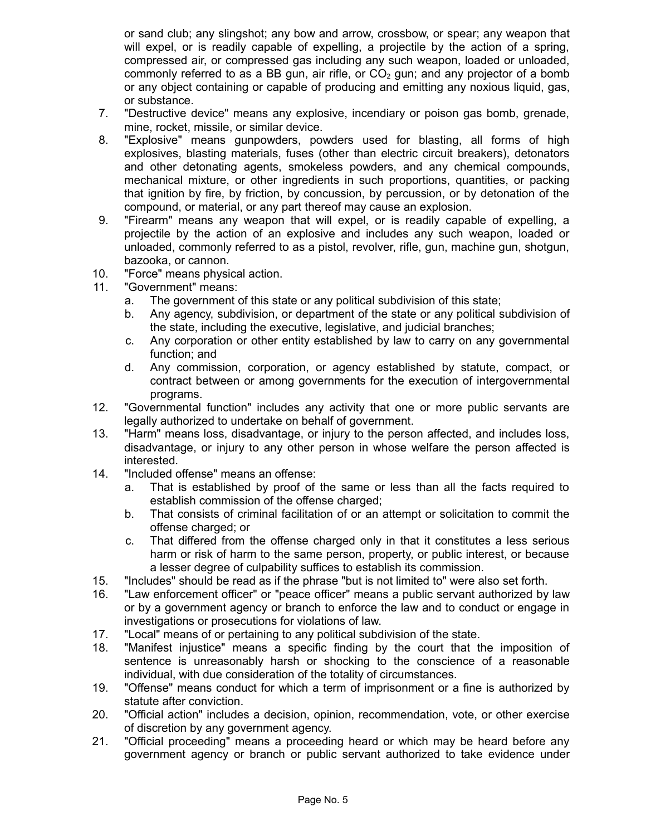or sand club; any slingshot; any bow and arrow, crossbow, or spear; any weapon that will expel, or is readily capable of expelling, a projectile by the action of a spring, compressed air, or compressed gas including any such weapon, loaded or unloaded, commonly referred to as a BB gun, air rifle, or  $CO<sub>2</sub>$  gun; and any projector of a bomb or any object containing or capable of producing and emitting any noxious liquid, gas, or substance.

- 7. "Destructive device" means any explosive, incendiary or poison gas bomb, grenade, mine, rocket, missile, or similar device.
- 8. "Explosive" means gunpowders, powders used for blasting, all forms of high explosives, blasting materials, fuses (other than electric circuit breakers), detonators and other detonating agents, smokeless powders, and any chemical compounds, mechanical mixture, or other ingredients in such proportions, quantities, or packing that ignition by fire, by friction, by concussion, by percussion, or by detonation of the compound, or material, or any part thereof may cause an explosion.
- 9. "Firearm" means any weapon that will expel, or is readily capable of expelling, a projectile by the action of an explosive and includes any such weapon, loaded or unloaded, commonly referred to as a pistol, revolver, rifle, gun, machine gun, shotgun, bazooka, or cannon.
- 10. "Force" means physical action.
- 11. "Government" means:
	- a. The government of this state or any political subdivision of this state;
	- b. Any agency, subdivision, or department of the state or any political subdivision of the state, including the executive, legislative, and judicial branches;
	- c. Any corporation or other entity established by law to carry on any governmental function; and
	- d. Any commission, corporation, or agency established by statute, compact, or contract between or among governments for the execution of intergovernmental programs.
- 12. "Governmental function" includes any activity that one or more public servants are legally authorized to undertake on behalf of government.
- 13. "Harm" means loss, disadvantage, or injury to the person affected, and includes loss, disadvantage, or injury to any other person in whose welfare the person affected is interested.
- 14. "Included offense" means an offense:
	- a. That is established by proof of the same or less than all the facts required to establish commission of the offense charged;
	- b. That consists of criminal facilitation of or an attempt or solicitation to commit the offense charged; or
	- c. That differed from the offense charged only in that it constitutes a less serious harm or risk of harm to the same person, property, or public interest, or because a lesser degree of culpability suffices to establish its commission.
- 15. "Includes" should be read as if the phrase "but is not limited to" were also set forth.
- 16. "Law enforcement officer" or "peace officer" means a public servant authorized by law or by a government agency or branch to enforce the law and to conduct or engage in investigations or prosecutions for violations of law.
- 17. "Local" means of or pertaining to any political subdivision of the state.
- 18. "Manifest injustice" means a specific finding by the court that the imposition of sentence is unreasonably harsh or shocking to the conscience of a reasonable individual, with due consideration of the totality of circumstances.
- 19. "Offense" means conduct for which a term of imprisonment or a fine is authorized by statute after conviction.
- 20. "Official action" includes a decision, opinion, recommendation, vote, or other exercise of discretion by any government agency.
- 21. "Official proceeding" means a proceeding heard or which may be heard before any government agency or branch or public servant authorized to take evidence under